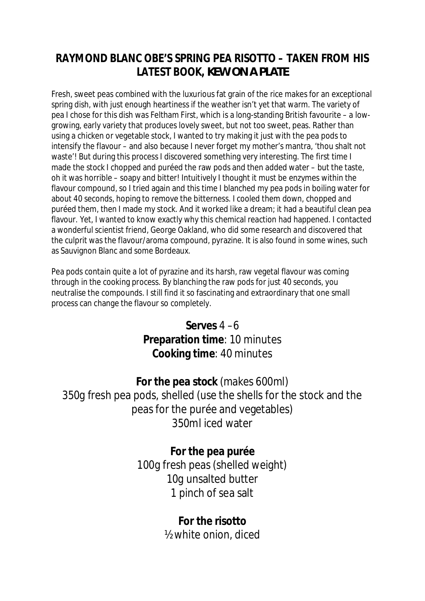## **RAYMOND BLANC OBE'S SPRING PEA RISOTTO – TAKEN FROM HIS LATEST BOOK,** *KEW ON A PLATE*

Fresh, sweet peas combined with the luxurious fat grain of the rice makes for an exceptional spring dish, with just enough heartiness if the weather isn't yet that warm. The variety of pea I chose for this dish was Feltham First, which is a long-standing British favourite – a lowgrowing, early variety that produces lovely sweet, but not too sweet, peas. Rather than using a chicken or vegetable stock, I wanted to try making it just with the pea pods to intensify the flavour – and also because I never forget my mother's mantra, 'thou shalt not waste'! But during this process I discovered something very interesting. The first time I made the stock I chopped and puréed the raw pods and then added water – but the taste, oh it was horrible – soapy and bitter! Intuitively I thought it must be enzymes within the flavour compound, so I tried again and this time I blanched my pea pods in boiling water for about 40 seconds, hoping to remove the bitterness. I cooled them down, chopped and puréed them, then I made my stock. And it worked like a dream; it had a beautiful clean pea flavour. Yet, I wanted to know exactly why this chemical reaction had happened. I contacted a wonderful scientist friend, George Oakland, who did some research and discovered that the culprit was the flavour/aroma compound, pyrazine. It is also found in some wines, such as Sauvignon Blanc and some Bordeaux.

Pea pods contain quite a lot of pyrazine and its harsh, raw vegetal flavour was coming through in the cooking process. By blanching the raw pods for just 40 seconds, you neutralise the compounds. I still find it so fascinating and extraordinary that one small process can change the flavour so completely.

> **Serves** 4 –6 **Preparation time**: 10 minutes **Cooking time**: 40 minutes

**For the pea stock** (makes 600ml) 350g fresh pea pods, shelled (use the shells for the stock and the peas for the purée and vegetables) 350ml iced water

> **For the pea purée** 100g fresh peas (shelled weight) 10g unsalted butter 1 pinch of sea salt

> > **For the risotto** ½ white onion, diced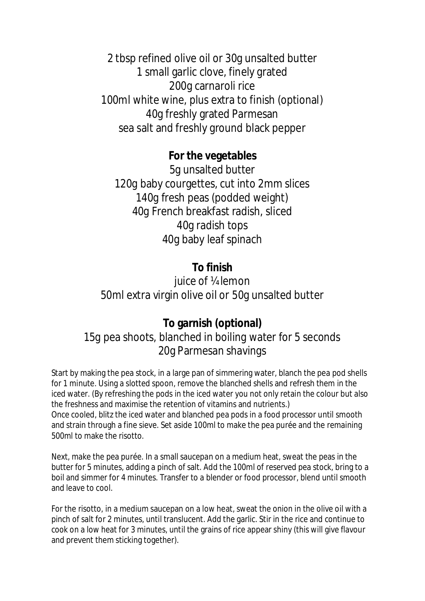2 tbsp refined olive oil or 30g unsalted butter 1 small garlic clove, finely grated 200g carnaroli rice 100ml white wine, plus extra to finish (optional) 40g freshly grated Parmesan sea salt and freshly ground black pepper

**For the vegetables** 5g unsalted butter 120g baby courgettes, cut into 2mm slices 140g fresh peas (podded weight) 40g French breakfast radish, sliced 40g radish tops 40g baby leaf spinach

**To finish** juice of <sup>1/4</sup> lemon 50ml extra virgin olive oil or 50g unsalted butter

## **To garnish (optional)** 15g pea shoots, blanched in boiling water for 5 seconds 20g Parmesan shavings

Start by making the pea stock, in a large pan of simmering water, blanch the pea pod shells for 1 minute. Using a slotted spoon, remove the blanched shells and refresh them in the iced water. (By refreshing the pods in the iced water you not only retain the colour but also the freshness and maximise the retention of vitamins and nutrients.) Once cooled, blitz the iced water and blanched pea pods in a food processor until smooth and strain through a fine sieve. Set aside 100ml to make the pea purée and the remaining 500ml to make the risotto.

Next, make the pea purée. In a small saucepan on a medium heat, sweat the peas in the butter for 5 minutes, adding a pinch of salt. Add the 100ml of reserved pea stock, bring to a boil and simmer for 4 minutes. Transfer to a blender or food processor, blend until smooth and leave to cool.

For the risotto, in a medium saucepan on a low heat, sweat the onion in the olive oil with a pinch of salt for 2 minutes, until translucent. Add the garlic. Stir in the rice and continue to cook on a low heat for 3 minutes, until the grains of rice appear shiny (this will give flavour and prevent them sticking together).